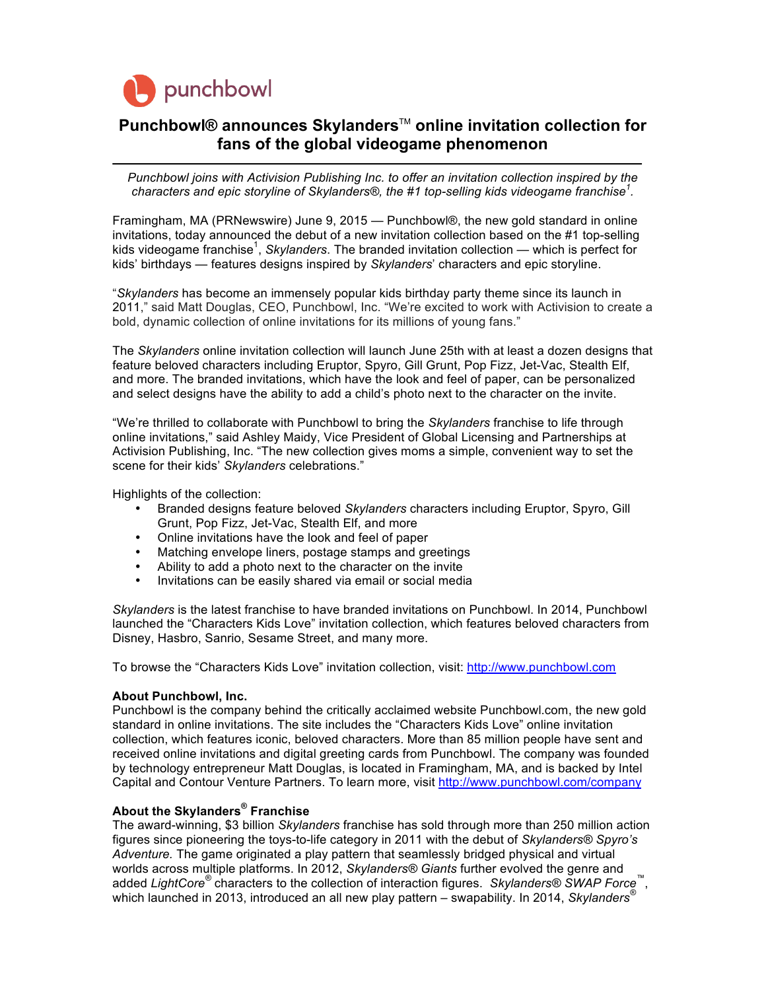

## **Punchbowl®** announces Skylanders™ online invitation collection for **fans of the global videogame phenomenon**

*Punchbowl joins with Activision Publishing Inc. to offer an invitation collection inspired by the characters and epic storyline of Skylanders®, the #1 top-selling kids videogame franchise<sup>1</sup> .* 

Framingham, MA (PRNewswire) June 9, 2015 — Punchbowl®, the new gold standard in online invitations, today announced the debut of a new invitation collection based on the #1 top-selling kids videogame franchise<sup>1</sup>, Skylanders. The branded invitation collection — which is perfect for kids' birthdays — features designs inspired by *Skylanders*' characters and epic storyline.

"*Skylanders* has become an immensely popular kids birthday party theme since its launch in 2011," said Matt Douglas, CEO, Punchbowl, Inc. "We're excited to work with Activision to create a bold, dynamic collection of online invitations for its millions of young fans."

The *Skylanders* online invitation collection will launch June 25th with at least a dozen designs that feature beloved characters including Eruptor, Spyro, Gill Grunt, Pop Fizz, Jet-Vac, Stealth Elf, and more. The branded invitations, which have the look and feel of paper, can be personalized and select designs have the ability to add a child's photo next to the character on the invite.

"We're thrilled to collaborate with Punchbowl to bring the *Skylanders* franchise to life through online invitations," said Ashley Maidy, Vice President of Global Licensing and Partnerships at Activision Publishing, Inc. "The new collection gives moms a simple, convenient way to set the scene for their kids' *Skylanders* celebrations."

Highlights of the collection:

- Branded designs feature beloved *Skylanders* characters including Eruptor, Spyro, Gill Grunt, Pop Fizz, Jet-Vac, Stealth Elf, and more
- Online invitations have the look and feel of paper
- Matching envelope liners, postage stamps and greetings
- Ability to add a photo next to the character on the invite
- Invitations can be easily shared via email or social media

*Skylanders* is the latest franchise to have branded invitations on Punchbowl. In 2014, Punchbowl launched the "Characters Kids Love" invitation collection, which features beloved characters from Disney, Hasbro, Sanrio, Sesame Street, and many more.

To browse the "Characters Kids Love" invitation collection, visit: http://www.punchbowl.com

## **About Punchbowl, Inc.**

Punchbowl is the company behind the critically acclaimed website Punchbowl.com, the new gold standard in online invitations. The site includes the "Characters Kids Love" online invitation collection, which features iconic, beloved characters. More than 85 million people have sent and received online invitations and digital greeting cards from Punchbowl. The company was founded by technology entrepreneur Matt Douglas, is located in Framingham, MA, and is backed by Intel Capital and Contour Venture Partners. To learn more, visit http://www.punchbowl.com/company

## **About the Skylanders® Franchise**

The award-winning, \$3 billion *Skylanders* franchise has sold through more than 250 million action figures since pioneering the toys-to-life category in 2011 with the debut of *Skylanders® Spyro's Adventure.* The game originated a play pattern that seamlessly bridged physical and virtual worlds across multiple platforms. In 2012, *Skylanders® Giants* further evolved the genre and added *LightCore®* characters to the collection of interaction figures. *Skylanders® SWAP Force*™, which launched in 2013, introduced an all new play pattern – swapability. In 2014, *Skylanders®*